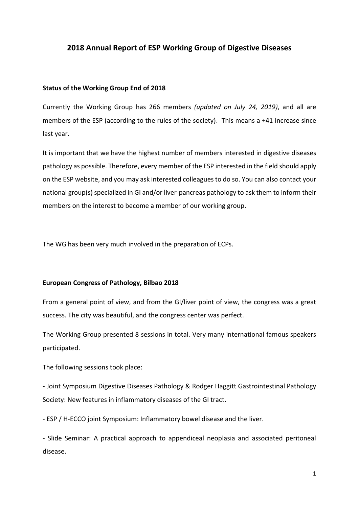# **2018 Annual Report of ESP Working Group of Digestive Diseases**

## **Status of the Working Group End of 2018**

Currently the Working Group has 266 members *(updated on July 24, 2019)*, and all are members of the ESP (according to the rules of the society). This means a +41 increase since last year.

It is important that we have the highest number of members interested in digestive diseases pathology as possible. Therefore, every member of the ESP interested in the field should apply on the ESP website, and you may ask interested colleagues to do so. You can also contact your national group(s) specialized in GI and/or liver-pancreas pathology to ask them to inform their members on the interest to become a member of our working group.

The WG has been very much involved in the preparation of ECPs.

### **European Congress of Pathology, Bilbao 2018**

From a general point of view, and from the GI/liver point of view, the congress was a great success. The city was beautiful, and the congress center was perfect.

The Working Group presented 8 sessions in total. Very many international famous speakers participated.

The following sessions took place:

- Joint Symposium Digestive Diseases Pathology & Rodger Haggitt Gastrointestinal Pathology Society: New features in inflammatory diseases of the GI tract.

- ESP / H-ECCO joint Symposium: Inflammatory bowel disease and the liver.

- Slide Seminar: A practical approach to appendiceal neoplasia and associated peritoneal disease.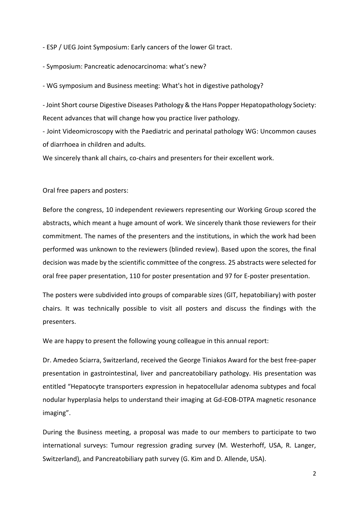- ESP / UEG Joint Symposium: Early cancers of the lower GI tract.

- Symposium: Pancreatic adenocarcinoma: what's new?

- WG symposium and Business meeting: What's hot in digestive pathology?

- Joint Short course Digestive Diseases Pathology & the Hans Popper Hepatopathology Society: Recent advances that will change how you practice liver pathology.

- Joint Videomicroscopy with the Paediatric and perinatal pathology WG: Uncommon causes of diarrhoea in children and adults.

We sincerely thank all chairs, co-chairs and presenters for their excellent work.

Oral free papers and posters:

Before the congress, 10 independent reviewers representing our Working Group scored the abstracts, which meant a huge amount of work. We sincerely thank those reviewers for their commitment. The names of the presenters and the institutions, in which the work had been performed was unknown to the reviewers (blinded review). Based upon the scores, the final decision was made by the scientific committee of the congress. 25 abstracts were selected for oral free paper presentation, 110 for poster presentation and 97 for E-poster presentation.

The posters were subdivided into groups of comparable sizes (GIT, hepatobiliary) with poster chairs. It was technically possible to visit all posters and discuss the findings with the presenters.

We are happy to present the following young colleague in this annual report:

Dr. Amedeo Sciarra, Switzerland, received the George Tiniakos Award for the best free-paper presentation in gastrointestinal, liver and pancreatobiliary pathology. His presentation was entitled "Hepatocyte transporters expression in hepatocellular adenoma subtypes and focal nodular hyperplasia helps to understand their imaging at Gd-EOB-DTPA magnetic resonance imaging".

During the Business meeting, a proposal was made to our members to participate to two international surveys: Tumour regression grading survey (M. Westerhoff, USA, R. Langer, Switzerland), and Pancreatobiliary path survey (G. Kim and D. Allende, USA).

2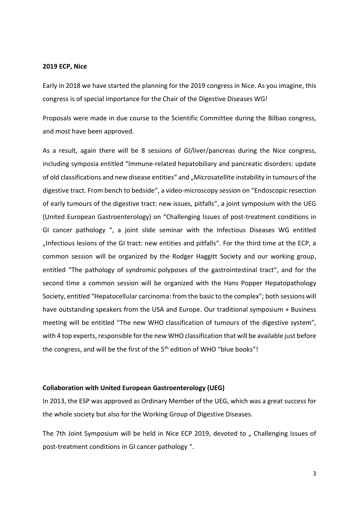#### **2019 ECP, Nice**

Early in 2018 we have started the planning for the 2019 congress in Nice. As you imagine, this congress is of special importance for the Chair of the Digestive Diseases WG!

Proposals were made in due course to the Scientific Committee during the Bilbao congress, and most have been approved.

As a result, again there will be 8 sessions of GI/liver/pancreas during the Nice congress, including symposia entitled "Immune-related hepatobiliary and pancreatic disorders: update of old classifications and new disease entities" and "Microsatellite instability in tumours of the digestive tract. From bench to bedside", a video-microscopy session on "Endoscopic resection of early tumours of the digestive tract: new issues, pitfalls", a joint symposium with the UEG (United European Gastroenterology) on "Challenging Issues of post-treatment conditions in GI cancer pathology ", a joint slide seminar with the Infectious Diseases WG entitled "Infectious lesions of the GI tract: new entities and pitfalls". For the third time at the ECP, a common session will be organized by the Rodger Haggitt Society and our working group, entitled "The pathology of syndromic polyposes of the gastrointestinal tract", and for the second time a common session will be organized with the Hans Popper Hepatopathology Society, entitled "Hepatocellular carcinoma: from the basic to the complex"; both sessions will have outstanding speakers from the USA and Europe. Our traditional symposium + Business meeting will be entitled "The new WHO classification of tumours of the digestive system", with 4 top experts, responsible for the new WHO classification that will be available just before the congress, and will be the first of the 5<sup>th</sup> edition of WHO "blue books"!

## **Collaboration with United European Gastroenterology (UEG)**

In 2013, the ESP was approved as Ordinary Member of the UEG, which was a great success for the whole society but also for the Working Group of Digestive Diseases.

The 7th Joint Symposium will be held in Nice ECP 2019, devoted to " Challenging Issues of post-treatment conditions in GI cancer pathology ".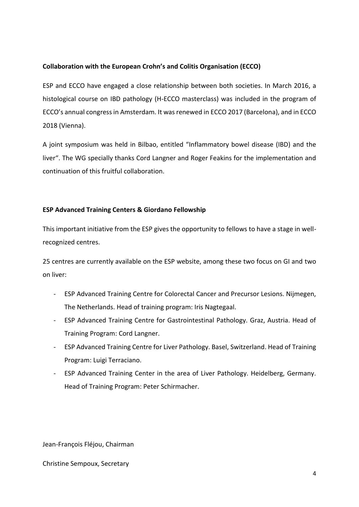## **Collaboration with the European Crohn's and Colitis Organisation (ECCO)**

ESP and ECCO have engaged a close relationship between both societies. In March 2016, a histological course on IBD pathology (H-ECCO masterclass) was included in the program of ECCO's annual congress in Amsterdam. It was renewed in ECCO 2017 (Barcelona), and in ECCO 2018 (Vienna).

A joint symposium was held in Bilbao, entitled "Inflammatory bowel disease (IBD) and the liver". The WG specially thanks Cord Langner and Roger Feakins for the implementation and continuation of this fruitful collaboration.

## **ESP Advanced Training Centers & Giordano Fellowship**

This important initiative from the ESP gives the opportunity to fellows to have a stage in wellrecognized centres.

25 centres are currently available on the ESP website, among these two focus on GI and two on liver:

- ESP Advanced Training Centre for Colorectal Cancer and Precursor Lesions. Nijmegen, The Netherlands. Head of training program: Iris Nagtegaal.
- ESP Advanced Training Centre for Gastrointestinal Pathology. Graz, Austria. Head of Training Program: Cord Langner.
- ESP Advanced Training Centre for Liver Pathology. Basel, Switzerland. Head of Training Program: Luigi Terraciano.
- ESP Advanced Training Center in the area of Liver Pathology. Heidelberg, Germany. Head of Training Program: Peter Schirmacher.

Jean-François Fléjou, Chairman

Christine Sempoux, Secretary